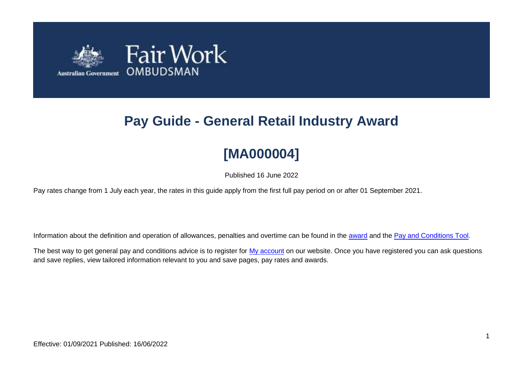

# **Pay Guide - General Retail Industry Award**

# **[MA000004]**

Published 16 June 2022

Pay rates change from 1 July each year, the rates in this guide apply from the first full pay period on or after 01 September 2021.

Information about the definition and operation of allowances, penalties and overtime can be found in the [award](https://www.fairwork.gov.au/awards-and-agreements/awards/list-of-awards) and the [Pay and Conditions Tool.](https://calculate.fairwork.gov.au/)

The best way to get general pay and conditions advice is to register for [My account](https://www.fairwork.gov.au/my-account/registerpage.aspx) on our website. Once you have registered you can ask questions and save replies, view tailored information relevant to you and save pages, pay rates and awards.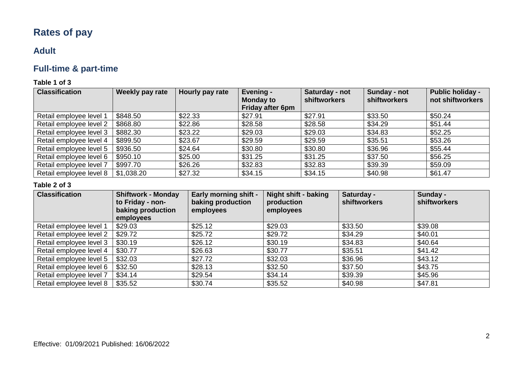# **Rates of pay**

# **Adult**

# **Full-time & part-time**

# **Table 1 of 3**

| <b>Classification</b>   | Weekly pay rate | Hourly pay rate | Evening -<br><b>Monday to</b><br>Friday after 6pm | Saturday - not<br><b>shiftworkers</b> | Sunday - not<br>shiftworkers | <b>Public holiday -</b><br>not shiftworkers |
|-------------------------|-----------------|-----------------|---------------------------------------------------|---------------------------------------|------------------------------|---------------------------------------------|
| Retail employee level 1 | \$848.50        | \$22.33         | \$27.91                                           | \$27.91                               | \$33.50                      | \$50.24                                     |
| Retail employee level 2 | \$868.80        | \$22.86         | \$28.58                                           | \$28.58                               | \$34.29                      | \$51.44                                     |
| Retail employee level 3 | \$882.30        | \$23.22         | \$29.03                                           | \$29.03                               | \$34.83                      | \$52.25                                     |
| Retail employee level 4 | \$899.50        | \$23.67         | \$29.59                                           | \$29.59                               | \$35.51                      | \$53.26                                     |
| Retail employee level 5 | \$936.50        | \$24.64         | \$30.80                                           | \$30.80                               | \$36.96                      | \$55.44                                     |
| Retail employee level 6 | \$950.10        | \$25.00         | \$31.25                                           | \$31.25                               | \$37.50                      | \$56.25                                     |
| Retail employee level 7 | \$997.70        | \$26.26         | \$32.83                                           | \$32.83                               | \$39.39                      | \$59.09                                     |
| Retail employee level 8 | \$1,038.20      | \$27.32         | \$34.15                                           | \$34.15                               | \$40.98                      | \$61.47                                     |

#### **Table 2 of 3**

| <b>Classification</b>   | <b>Shiftwork - Monday</b><br>to Friday - non-<br>baking production<br>employees | <b>Early morning shift -</b><br>baking production<br>employees | Night shift - baking<br>production<br>employees | Saturday -<br>shiftworkers | Sunday -<br><b>shiftworkers</b> |
|-------------------------|---------------------------------------------------------------------------------|----------------------------------------------------------------|-------------------------------------------------|----------------------------|---------------------------------|
| Retail employee level 1 | \$29.03                                                                         | \$25.12                                                        | \$29.03                                         | \$33.50                    | \$39.08                         |
| Retail employee level 2 | \$29.72                                                                         | \$25.72                                                        | \$29.72                                         | \$34.29                    | \$40.01                         |
| Retail employee level 3 | \$30.19                                                                         | \$26.12                                                        | \$30.19                                         | \$34.83                    | \$40.64                         |
| Retail employee level 4 | \$30.77                                                                         | \$26.63                                                        | \$30.77                                         | \$35.51                    | \$41.42                         |
| Retail employee level 5 | \$32.03                                                                         | \$27.72                                                        | \$32.03                                         | \$36.96                    | \$43.12                         |
| Retail employee level 6 | \$32.50                                                                         | \$28.13                                                        | \$32.50                                         | \$37.50                    | \$43.75                         |
| Retail employee level 7 | \$34.14                                                                         | \$29.54                                                        | \$34.14                                         | \$39.39                    | \$45.96                         |
| Retail employee level 8 | \$35.52                                                                         | \$30.74                                                        | \$35.52                                         | \$40.98                    | \$47.81                         |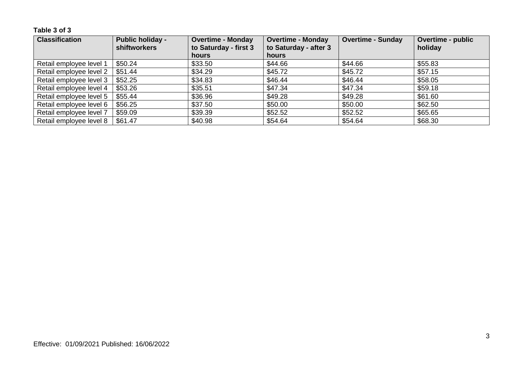**Table 3 of 3**

| <b>Classification</b>   | <b>Public holiday -</b><br><b>shiftworkers</b> | <b>Overtime - Monday</b><br>to Saturday - first 3 | <b>Overtime - Monday</b><br>to Saturday - after 3 | <b>Overtime - Sunday</b> | <b>Overtime - public</b><br>holiday |
|-------------------------|------------------------------------------------|---------------------------------------------------|---------------------------------------------------|--------------------------|-------------------------------------|
|                         |                                                | <b>hours</b>                                      | hours                                             |                          |                                     |
| Retail employee level 1 | \$50.24                                        | \$33.50                                           | \$44.66                                           | \$44.66                  | \$55.83                             |
| Retail employee level 2 | \$51.44                                        | \$34.29                                           | \$45.72                                           | \$45.72                  | \$57.15                             |
| Retail employee level 3 | \$52.25                                        | \$34.83                                           | \$46.44                                           | \$46.44                  | \$58.05                             |
| Retail employee level 4 | \$53.26                                        | \$35.51                                           | \$47.34                                           | \$47.34                  | \$59.18                             |
| Retail employee level 5 | \$55.44                                        | \$36.96                                           | \$49.28                                           | \$49.28                  | \$61.60                             |
| Retail employee level 6 | \$56.25                                        | \$37.50                                           | \$50.00                                           | \$50.00                  | \$62.50                             |
| Retail employee level 7 | \$59.09                                        | \$39.39                                           | \$52.52                                           | \$52.52                  | \$65.65                             |
| Retail employee level 8 | \$61.47                                        | \$40.98                                           | \$54.64                                           | \$54.64                  | \$68.30                             |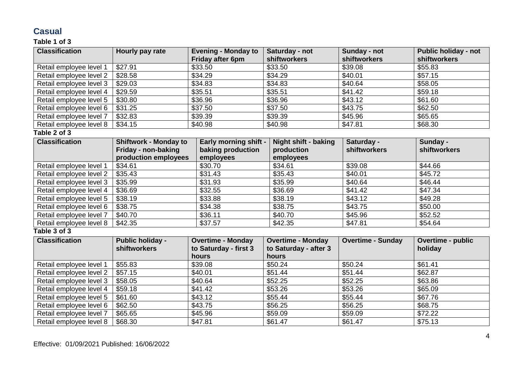# **Casual**

# **Table 1 of 3**

| <b>Classification</b>   | Hourly pay rate              | <b>Evening - Monday to</b><br>Friday after 6pm | Saturday - not<br>shiftworkers | Sunday - not<br>shiftworkers | <b>Public holiday - not</b><br>shiftworkers |
|-------------------------|------------------------------|------------------------------------------------|--------------------------------|------------------------------|---------------------------------------------|
| Retail employee level 1 | \$33.50<br>\$27.91           |                                                | \$33.50                        | \$39.08                      | \$55.83                                     |
| Retail employee level 2 | \$28.58                      | \$34.29                                        | \$34.29                        | \$40.01                      | \$57.15                                     |
| Retail employee level 3 | \$29.03                      | \$34.83                                        | \$34.83                        | \$40.64                      | \$58.05                                     |
| Retail employee level 4 | \$29.59                      | \$35.51                                        | \$35.51                        | \$41.42                      | \$59.18                                     |
| Retail employee level 5 | \$30.80                      | \$36.96                                        | \$36.96                        | \$43.12                      | \$61.60                                     |
| Retail employee level 6 | \$31.25                      | \$37.50                                        | \$37.50                        | \$43.75                      | \$62.50                                     |
| Retail employee level 7 | \$32.83                      | \$39.39                                        | \$39.39                        | \$45.96                      | \$65.65                                     |
| Retail employee level 8 | \$34.15                      | \$40.98                                        | \$40.98                        | \$47.81                      | \$68.30                                     |
| Table 2 of 3            |                              |                                                |                                |                              |                                             |
| <b>Classification</b>   | <b>Shiftwork - Monday to</b> | <b>Early morning shift -</b>                   | <b>Night shift - baking</b>    | Saturday -                   | Sunday -                                    |
|                         | Friday - non-baking          | baking production                              | production                     | shiftworkers                 | shiftworkers                                |
|                         | production employees         | employees                                      | employees                      |                              |                                             |
| Retail employee level 1 | \$34.61                      | \$30.70                                        | \$34.61                        | \$39.08                      | \$44.66                                     |
| Retail employee level 2 | \$35.43                      | \$31.43                                        | \$35.43                        | \$40.01                      | \$45.72                                     |
| Retail employee level 3 | \$35.99                      | \$31.93                                        | \$35.99                        | \$40.64                      | \$46.44                                     |
| Retail employee level 4 | \$36.69                      | \$32.55                                        | \$36.69                        | \$41.42                      | \$47.34                                     |
| Retail employee level 5 | \$38.19                      | \$33.88                                        | \$38.19                        | \$43.12                      | \$49.28                                     |
| Retail employee level 6 | \$38.75                      | \$34.38                                        | \$38.75                        | \$43.75                      | $\overline{$}50.00$                         |
| Retail employee level 7 | \$40.70                      | \$36.11                                        | \$40.70                        | \$45.96                      | \$52.52                                     |
| Retail employee level 8 | \$42.35                      | \$37.57                                        | \$42.35                        | \$47.81                      | \$54.64                                     |
| Table 3 of 3            |                              |                                                |                                |                              |                                             |
| <b>Classification</b>   | <b>Public holiday -</b>      | <b>Overtime - Monday</b>                       | <b>Overtime - Monday</b>       | <b>Overtime - Sunday</b>     | Overtime - public                           |
|                         | <b>shiftworkers</b>          | to Saturday - first 3                          | to Saturday - after 3          |                              | holiday                                     |
|                         |                              | hours                                          | hours                          |                              |                                             |
| Retail employee level 1 | \$55.83                      | \$39.08                                        | \$50.24                        | \$50.24                      | \$61.41                                     |
| Retail employee level 2 | \$57.15                      | \$40.01                                        | \$51.44                        | \$51.44                      | \$62.87                                     |
| Retail employee level 3 | \$58.05                      | \$40.64                                        | \$52.25                        | \$52.25                      | \$63.86                                     |
| Retail employee level 4 | \$59.18                      | \$41.42                                        | \$53.26                        | \$53.26                      | \$65.09                                     |
| Retail employee level 5 | \$61.60                      | \$43.12                                        | \$55.44                        | \$55.44                      | \$67.76                                     |
| Retail employee level 6 | \$62.50                      | \$43.75                                        | \$56.25                        | \$56.25                      | \$68.75                                     |
| Retail employee level 7 | \$65.65                      | \$45.96                                        | \$59.09                        | \$59.09                      | \$72.22                                     |
| Retail employee level 8 | \$68.30                      | \$47.81                                        | \$61.47                        | \$61.47                      | \$75.13                                     |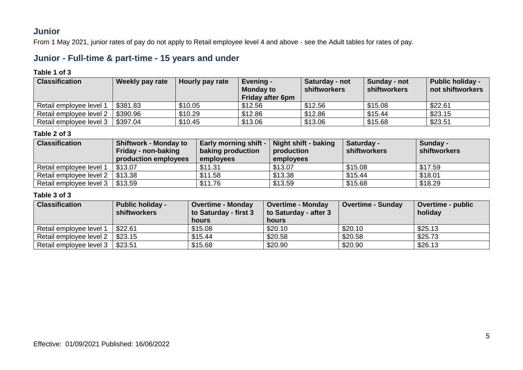# **Junior**

From 1 May 2021, junior rates of pay do not apply to Retail employee level 4 and above - see the Adult tables for rates of pay.

# **Junior - Full-time & part-time - 15 years and under**

#### **Table 1 of 3**

| <b>Classification</b>   | Weekly pay rate | Hourly pay rate | Evening -<br><b>Monday to</b><br><b>Friday after 6pm</b> | Saturday - not<br>shiftworkers | Sunday - not<br>shiftworkers | <b>Public holiday -</b><br>not shiftworkers |
|-------------------------|-----------------|-----------------|----------------------------------------------------------|--------------------------------|------------------------------|---------------------------------------------|
| Retail employee level 1 | \$381.83        | \$10.05         | \$12.56                                                  | \$12.56                        | \$15.08                      | \$22.61                                     |
| Retail employee level 2 | \$390.96        | \$10.29         | \$12.86                                                  | \$12.86                        | \$15.44                      | \$23.15                                     |
| Retail employee level 3 | \$397.04        | \$10.45         | \$13.06                                                  | \$13.06                        | \$15.68                      | \$23.51                                     |

### **Table 2 of 3**

| <b>Classification</b>   | <b>Shiftwork - Monday to</b><br>Friday - non-baking<br>production employees | <b>Early morning shift -</b><br>baking production<br>employees | Night shift - baking<br>production<br>employees | <b>Saturday -</b><br>shiftworkers | Sunday -<br>shiftworkers |
|-------------------------|-----------------------------------------------------------------------------|----------------------------------------------------------------|-------------------------------------------------|-----------------------------------|--------------------------|
| Retail employee level 1 | \$13.07                                                                     | \$11.31                                                        | \$13.07                                         | \$15.08                           | \$17.59                  |
| Retail employee level 2 | \$13.38                                                                     | \$11.58                                                        | \$13.38                                         | \$15.44                           | \$18.01                  |
| Retail employee level 3 | \$13.59                                                                     | \$11.76                                                        | \$13.59                                         | \$15.68                           | \$18.29                  |

| <b>Classification</b>   | <b>Public holiday -</b><br><b>shiftworkers</b> | <b>Overtime - Monday</b><br>to Saturday - first 3<br>hours | <b>Overtime - Monday</b><br>to Saturday - after 3<br>hours | <b>Overtime - Sunday</b> | Overtime - public<br>holiday |
|-------------------------|------------------------------------------------|------------------------------------------------------------|------------------------------------------------------------|--------------------------|------------------------------|
| Retail employee level 1 | \$22.61                                        | \$15.08                                                    | \$20.10                                                    | \$20.10                  | \$25.13                      |
| Retail employee level 2 | \$23.15                                        | \$15.44                                                    | \$20.58                                                    | \$20.58                  | \$25.73                      |
| Retail employee level 3 | \$23.51                                        | \$15.68                                                    | \$20.90                                                    | \$20.90                  | \$26.13                      |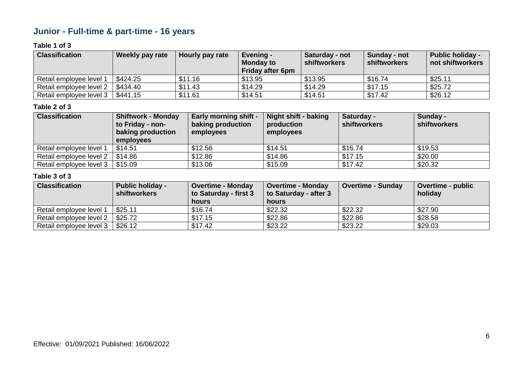# **Junior - Full-time & part-time - 16 years**

## **Table 1 of 3**

| <b>Classification</b>   | Weekly pay rate | Hourly pay rate | Evening -<br><b>Monday to</b><br>Friday after 6pm | Saturday - not<br><b>shiftworkers</b> | Sunday - not<br><b>shiftworkers</b> | <b>Public holiday -</b><br>not shiftworkers |
|-------------------------|-----------------|-----------------|---------------------------------------------------|---------------------------------------|-------------------------------------|---------------------------------------------|
| Retail employee level 1 | \$424.25        | \$11.16         | \$13.95                                           | \$13.95                               | \$16.74                             | \$25.11                                     |
| Retail employee level 2 | \$434.40        | \$11.43         | \$14.29                                           | \$14.29                               | \$17.15                             | \$25.72                                     |
| Retail employee level 3 | \$441.15        | \$11.61         | \$14.51                                           | \$14.51                               | \$17.42                             | \$26.12                                     |

### **Table 2 of 3**

| <b>Classification</b>   | <b>Shiftwork - Monday</b><br>to Friday - non-<br>baking production<br>employees | <b>Early morning shift -</b><br>baking production<br>employees | Night shift - baking<br>production<br>employees | Saturday -<br><b>shiftworkers</b> | Sunday -<br>shiftworkers |
|-------------------------|---------------------------------------------------------------------------------|----------------------------------------------------------------|-------------------------------------------------|-----------------------------------|--------------------------|
| Retail employee level 1 | \$14.51                                                                         | \$12.56                                                        | \$14.51                                         | \$16.74                           | \$19.53                  |
| Retail employee level 2 | \$14.86                                                                         | \$12.86                                                        | \$14.86                                         | \$17.15                           | \$20.00                  |
| Retail employee level 3 | \$15.09                                                                         | \$13.06                                                        | \$15.09                                         | \$17.42                           | \$20.32                  |

| <b>Classification</b>   | <b>Public holiday -</b><br><b>shiftworkers</b> | <b>Overtime - Monday</b><br>to Saturday - first 3 | <b>Overtime - Monday</b><br>to Saturday - after 3 | <b>Overtime - Sunday</b> | <b>Overtime - public</b><br>holidav |
|-------------------------|------------------------------------------------|---------------------------------------------------|---------------------------------------------------|--------------------------|-------------------------------------|
|                         |                                                | <b>hours</b>                                      | hours                                             |                          |                                     |
| Retail employee level 1 | \$25.11                                        | \$16.74                                           | \$22.32                                           | \$22.32                  | \$27.90                             |
| Retail employee level 2 | \$25.72                                        | \$17.15                                           | \$22.86                                           | \$22.86                  | \$28.58                             |
| Retail employee level 3 | \$26.12                                        | \$17.42                                           | \$23.22                                           | \$23.22                  | \$29.03                             |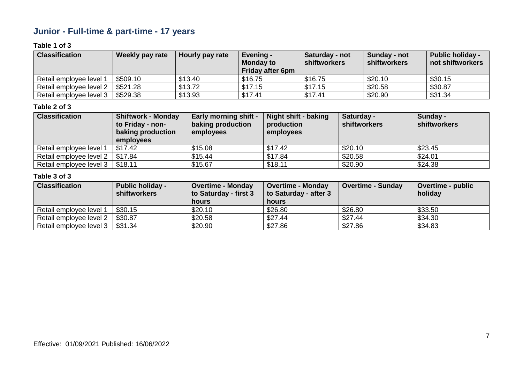# **Junior - Full-time & part-time - 17 years**

## **Table 1 of 3**

| <b>Classification</b>   | Weekly pay rate | Hourly pay rate | Evening -<br><b>Monday to</b><br>Friday after 6pm | Saturday - not<br><b>shiftworkers</b> | Sunday - not<br><b>shiftworkers</b> | <b>Public holiday -</b><br>not shiftworkers |
|-------------------------|-----------------|-----------------|---------------------------------------------------|---------------------------------------|-------------------------------------|---------------------------------------------|
| Retail employee level 1 | \$509.10        | \$13.40         | \$16.75                                           | \$16.75                               | \$20.10                             | \$30.15                                     |
| Retail employee level 2 | \$521.28        | \$13.72         | \$17.15                                           | \$17.15                               | \$20.58                             | \$30.87                                     |
| Retail employee level 3 | \$529.38        | \$13.93         | \$17.41                                           | \$17.41                               | \$20.90                             | \$31.34                                     |

#### **Table 2 of 3**

| <b>Classification</b>   | <b>Shiftwork - Monday</b><br>to Friday - non-<br>baking production<br>employees | <b>Early morning shift -</b><br>baking production<br>employees | Night shift - baking<br>production<br>employees | Saturday -<br><b>shiftworkers</b> | Sunday -<br>shiftworkers |
|-------------------------|---------------------------------------------------------------------------------|----------------------------------------------------------------|-------------------------------------------------|-----------------------------------|--------------------------|
| Retail employee level 1 | \$17.42                                                                         | \$15.08                                                        | \$17.42                                         | \$20.10                           | \$23.45                  |
| Retail employee level 2 | \$17.84                                                                         | \$15.44                                                        | \$17.84                                         | \$20.58                           | \$24.01                  |
| Retail employee level 3 | \$18.11                                                                         | \$15.67                                                        | \$18.11                                         | \$20.90                           | \$24.38                  |

| <b>Classification</b>   | <b>Public holiday -</b><br>shiftworkers | <b>Overtime - Monday</b><br>to Saturday - first 3 | <b>Overtime - Monday</b><br>to Saturday - after 3 | <b>Overtime - Sunday</b> | <b>Overtime - public</b><br>holiday |
|-------------------------|-----------------------------------------|---------------------------------------------------|---------------------------------------------------|--------------------------|-------------------------------------|
|                         |                                         | hours                                             | hours                                             |                          |                                     |
| Retail employee level 1 | \$30.15                                 | \$20.10                                           | \$26.80                                           | \$26.80                  | \$33.50                             |
| Retail employee level 2 | \$30.87                                 | \$20.58                                           | \$27.44                                           | \$27.44                  | \$34.30                             |
| Retail employee level 3 | \$31.34                                 | \$20.90                                           | \$27.86                                           | \$27.86                  | \$34.83                             |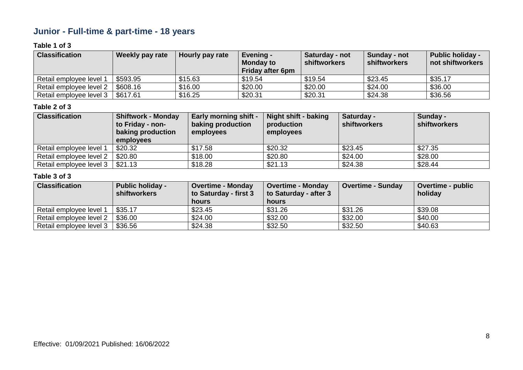# **Junior - Full-time & part-time - 18 years**

## **Table 1 of 3**

| <b>Classification</b>   | Weekly pay rate | Hourly pay rate | Evening -<br><b>Monday to</b><br>Friday after 6pm | Saturday - not<br><b>shiftworkers</b> | Sunday - not<br><b>shiftworkers</b> | <b>Public holiday -</b><br>not shiftworkers |
|-------------------------|-----------------|-----------------|---------------------------------------------------|---------------------------------------|-------------------------------------|---------------------------------------------|
| Retail employee level 1 | \$593.95        | \$15.63         | \$19.54                                           | \$19.54                               | \$23.45                             | \$35.17                                     |
| Retail employee level 2 | \$608.16        | \$16.00         | \$20.00                                           | \$20.00                               | \$24.00                             | \$36.00                                     |
| Retail employee level 3 | \$617.61        | \$16.25         | \$20.31                                           | \$20.31                               | \$24.38                             | \$36.56                                     |

#### **Table 2 of 3**

| <b>Classification</b>   | <b>Shiftwork - Monday</b><br>to Friday - non-<br>baking production<br>employees | <b>Early morning shift -</b><br>baking production<br>employees | Night shift - baking<br>production<br>employees | Saturday -<br><b>shiftworkers</b> | Sunday -<br>shiftworkers |
|-------------------------|---------------------------------------------------------------------------------|----------------------------------------------------------------|-------------------------------------------------|-----------------------------------|--------------------------|
| Retail employee level 1 | \$20.32                                                                         | \$17.58                                                        | \$20.32                                         | \$23.45                           | \$27.35                  |
| Retail employee level 2 | \$20.80                                                                         | \$18.00                                                        | \$20.80                                         | \$24.00                           | \$28.00                  |
| Retail employee level 3 | \$21.13                                                                         | \$18.28                                                        | \$21.13                                         | \$24.38                           | \$28.44                  |

| <b>Classification</b>   | <b>Public holiday -</b><br><b>shiftworkers</b> | <b>Overtime - Monday</b><br>to Saturday - first 3 | <b>Overtime - Monday</b><br>to Saturday - after 3 | <b>Overtime - Sunday</b> | <b>Overtime - public</b><br>holidav |
|-------------------------|------------------------------------------------|---------------------------------------------------|---------------------------------------------------|--------------------------|-------------------------------------|
|                         |                                                | <b>hours</b>                                      | hours                                             |                          |                                     |
| Retail employee level 1 | \$35.17                                        | \$23.45                                           | \$31.26                                           | \$31.26                  | \$39.08                             |
| Retail employee level 2 | \$36.00                                        | \$24.00                                           | \$32.00                                           | \$32.00                  | \$40.00                             |
| Retail employee level 3 | \$36.56                                        | \$24.38                                           | \$32.50                                           | \$32.50                  | \$40.63                             |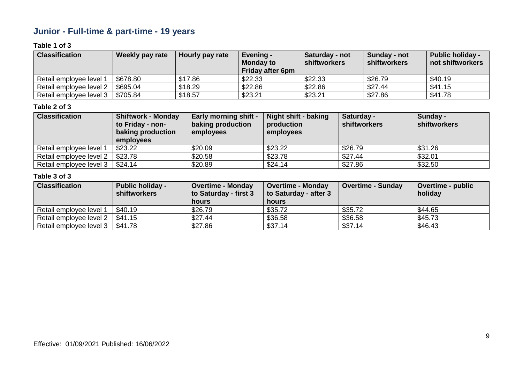# **Junior - Full-time & part-time - 19 years**

## **Table 1 of 3**

| <b>Classification</b>   | Weekly pay rate | Hourly pay rate | Evening -<br><b>Monday to</b><br>Friday after 6pm | Saturday - not<br><b>shiftworkers</b> | Sunday - not<br><b>shiftworkers</b> | <b>Public holiday -</b><br>not shiftworkers |
|-------------------------|-----------------|-----------------|---------------------------------------------------|---------------------------------------|-------------------------------------|---------------------------------------------|
| Retail employee level 1 | \$678.80        | \$17.86         | \$22.33                                           | \$22.33                               | \$26.79                             | \$40.19                                     |
| Retail employee level 2 | \$695.04        | \$18.29         | \$22.86                                           | \$22.86                               | \$27.44                             | \$41.15                                     |
| Retail employee level 3 | \$705.84        | \$18.57         | \$23.21                                           | \$23.21                               | \$27.86                             | \$41.78                                     |

#### **Table 2 of 3**

| <b>Classification</b>   | <b>Shiftwork - Monday</b><br>to Friday - non-<br>baking production<br>employees | <b>Early morning shift -</b><br>baking production<br>employees | Night shift - baking<br>production<br>employees | Saturday -<br><b>shiftworkers</b> | Sunday -<br><b>shiftworkers</b> |
|-------------------------|---------------------------------------------------------------------------------|----------------------------------------------------------------|-------------------------------------------------|-----------------------------------|---------------------------------|
| Retail employee level 1 | \$23.22                                                                         | \$20.09                                                        | \$23.22                                         | \$26.79                           | \$31.26                         |
| Retail employee level 2 | \$23.78                                                                         | \$20.58                                                        | \$23.78                                         | \$27.44                           | \$32.01                         |
| Retail employee level 3 | \$24.14                                                                         | \$20.89                                                        | \$24.14                                         | \$27.86                           | \$32.50                         |

| <b>Classification</b>   | <b>Public holiday -</b><br>shiftworkers | <b>Overtime - Monday</b><br>to Saturday - first 3 | <b>Overtime - Monday</b><br>to Saturday - after 3 | <b>Overtime - Sunday</b> | <b>Overtime - public</b><br>holiday |
|-------------------------|-----------------------------------------|---------------------------------------------------|---------------------------------------------------|--------------------------|-------------------------------------|
|                         |                                         | hours                                             | hours                                             |                          |                                     |
| Retail employee level 1 | \$40.19                                 | \$26.79                                           | \$35.72                                           | \$35.72                  | \$44.65                             |
| Retail employee level 2 | \$41.15                                 | \$27.44                                           | \$36.58                                           | \$36.58                  | \$45.73                             |
| Retail employee level 3 | \$41.78                                 | \$27.86                                           | \$37.14                                           | \$37.14                  | \$46.43                             |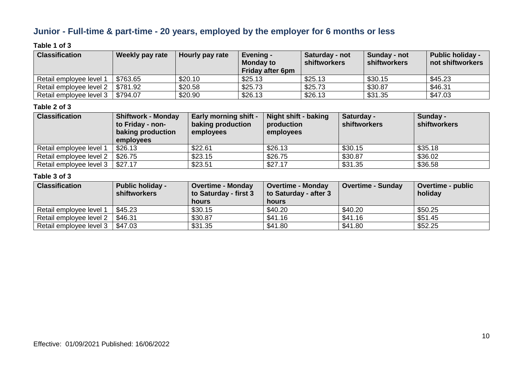# **Junior - Full-time & part-time - 20 years, employed by the employer for 6 months or less**

## **Table 1 of 3**

| <b>Classification</b>   | Weekly pay rate | Hourly pay rate | Evening -<br><b>Monday to</b><br>Friday after 6pm | Saturday - not<br><b>shiftworkers</b> | Sunday - not<br><b>shiftworkers</b> | <b>Public holiday -</b><br>not shiftworkers |
|-------------------------|-----------------|-----------------|---------------------------------------------------|---------------------------------------|-------------------------------------|---------------------------------------------|
| Retail employee level 1 | \$763.65        | \$20.10         | \$25.13                                           | \$25.13                               | \$30.15                             | \$45.23                                     |
| Retail employee level 2 | \$781.92        | \$20.58         | \$25.73                                           | \$25.73                               | \$30.87                             | \$46.31                                     |
| Retail employee level 3 | \$794.07        | \$20.90         | \$26.13                                           | \$26.13                               | \$31.35                             | \$47.03                                     |

#### **Table 2 of 3**

| <b>Classification</b>   | <b>Shiftwork - Monday</b><br>to Friday - non-<br>baking production<br>employees | <b>Early morning shift -</b><br>baking production<br>employees | Night shift - baking<br>production<br>employees | Saturday -<br><b>shiftworkers</b> | Sunday -<br>shiftworkers |
|-------------------------|---------------------------------------------------------------------------------|----------------------------------------------------------------|-------------------------------------------------|-----------------------------------|--------------------------|
| Retail employee level 1 | \$26.13                                                                         | \$22.61                                                        | \$26.13                                         | \$30.15                           | \$35.18                  |
| Retail employee level 2 | \$26.75                                                                         | \$23.15                                                        | \$26.75                                         | \$30.87                           | \$36.02                  |
| Retail employee level 3 | \$27.17                                                                         | \$23.51                                                        | \$27.17                                         | \$31.35                           | \$36.58                  |

| <b>Classification</b>   | <b>Public holiday -</b><br><b>shiftworkers</b> | <b>Overtime - Monday</b><br>to Saturday - first 3 | <b>Overtime - Monday</b><br>to Saturday - after 3 | <b>Overtime - Sunday</b> | <b>Overtime - public</b><br>holidav |
|-------------------------|------------------------------------------------|---------------------------------------------------|---------------------------------------------------|--------------------------|-------------------------------------|
|                         |                                                | <b>hours</b>                                      | hours                                             |                          |                                     |
| Retail employee level 1 | \$45.23                                        | \$30.15                                           | \$40.20                                           | \$40.20                  | \$50.25                             |
| Retail employee level 2 | \$46.31                                        | \$30.87                                           | \$41.16                                           | \$41.16                  | \$51.45                             |
| Retail employee level 3 | \$47.03                                        | \$31.35                                           | \$41.80                                           | \$41.80                  | \$52.25                             |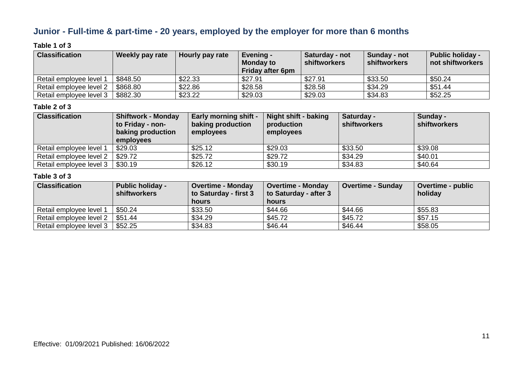# **Junior - Full-time & part-time - 20 years, employed by the employer for more than 6 months**

### **Table 1 of 3**

| <b>Classification</b>   | Weekly pay rate | Hourly pay rate | Evening -<br><b>Monday to</b><br>Friday after 6pm | Saturday - not<br><b>shiftworkers</b> | Sunday - not<br><b>shiftworkers</b> | <b>Public holiday -</b><br>not shiftworkers |
|-------------------------|-----------------|-----------------|---------------------------------------------------|---------------------------------------|-------------------------------------|---------------------------------------------|
| Retail employee level 1 | \$848.50        | \$22.33         | \$27.91                                           | \$27.91                               | \$33.50                             | \$50.24                                     |
| Retail employee level 2 | \$868.80        | \$22.86         | \$28.58                                           | \$28.58                               | \$34.29                             | \$51.44                                     |
| Retail employee level 3 | \$882.30        | \$23.22         | \$29.03                                           | \$29.03                               | \$34.83                             | \$52.25                                     |

#### **Table 2 of 3**

| <b>Classification</b>   | <b>Shiftwork - Monday</b><br>to Friday - non-<br>baking production<br>employees | <b>Early morning shift -</b><br>baking production<br>employees | Night shift - baking<br>production<br>employees | Saturday -<br><b>shiftworkers</b> | Sunday -<br>shiftworkers |
|-------------------------|---------------------------------------------------------------------------------|----------------------------------------------------------------|-------------------------------------------------|-----------------------------------|--------------------------|
| Retail employee level 1 | \$29.03                                                                         | \$25.12                                                        | \$29.03                                         | \$33.50                           | \$39.08                  |
| Retail employee level 2 | \$29.72                                                                         | \$25.72                                                        | \$29.72                                         | \$34.29                           | \$40.01                  |
| Retail employee level 3 | \$30.19                                                                         | \$26.12                                                        | \$30.19                                         | \$34.83                           | \$40.64                  |

| <b>Classification</b>   | <b>Public holiday -</b><br><b>shiftworkers</b> | <b>Overtime - Monday</b><br>to Saturday - first 3 | <b>Overtime - Monday</b><br>to Saturday - after 3 | Overtime - Sunday | <b>Overtime - public</b><br>holiday |
|-------------------------|------------------------------------------------|---------------------------------------------------|---------------------------------------------------|-------------------|-------------------------------------|
|                         |                                                | <b>hours</b>                                      | hours                                             |                   |                                     |
| Retail employee level 1 | \$50.24                                        | \$33.50                                           | \$44.66                                           | \$44.66           | \$55.83                             |
| Retail employee level 2 | \$51.44                                        | \$34.29                                           | \$45.72                                           | \$45.72           | \$57.15                             |
| Retail employee level 3 | \$52.25                                        | \$34.83                                           | \$46.44                                           | \$46.44           | \$58.05                             |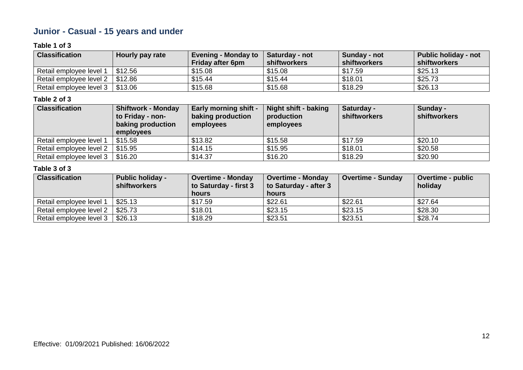# **Junior - Casual - 15 years and under**

### **Table 1 of 3**

| <b>Classification</b>                 | Hourly pay rate | <b>Evening - Monday to</b><br><b>Friday after 6pm</b> | <b>Saturday - not</b><br>shiftworkers | Sunday - not<br>shiftworkers | Public holiday - not<br>shiftworkers |
|---------------------------------------|-----------------|-------------------------------------------------------|---------------------------------------|------------------------------|--------------------------------------|
| Retail employee level 1               | \$12.56         | \$15.08                                               | \$15.08                               | \$17.59                      | \$25.13                              |
| Retail employee level $2 \mid $12.86$ |                 | \$15.44                                               | \$15.44                               | \$18.01                      | \$25.73                              |
| Retail employee level $3 \mid $13.06$ |                 | \$15.68                                               | \$15.68                               | \$18.29                      | \$26.13                              |

### **Table 2 of 3**

| <b>Classification</b>   | <b>Shiftwork - Monday</b> | <b>Early morning shift -</b> | <b>Night shift - baking</b> | Saturday -          | Sunday -     |
|-------------------------|---------------------------|------------------------------|-----------------------------|---------------------|--------------|
|                         | to Friday - non-          | baking production            | production                  | <b>shiftworkers</b> | shiftworkers |
|                         | baking production         | employees                    | employees                   |                     |              |
|                         | employees                 |                              |                             |                     |              |
| Retail employee level 1 | \$15.58                   | \$13.82                      | \$15.58                     | \$17.59             | \$20.10      |
| Retail employee level 2 | \$15.95                   | \$14.15                      | \$15.95                     | \$18.01             | \$20.58      |
| Retail employee level 3 | \$16.20                   | \$14.37                      | \$16.20                     | \$18.29             | \$20.90      |

| <b>Classification</b>   | <b>Public holiday -</b><br><b>shiftworkers</b> | <b>Overtime - Monday</b><br>to Saturday - first 3<br><b>hours</b> | <b>Overtime - Monday</b><br>to Saturday - after 3<br>hours | <b>Overtime - Sunday</b> | <b>Overtime - public</b><br>holiday |
|-------------------------|------------------------------------------------|-------------------------------------------------------------------|------------------------------------------------------------|--------------------------|-------------------------------------|
| Retail employee level 1 | \$25.13                                        | \$17.59                                                           | \$22.61                                                    | \$22.61                  | \$27.64                             |
| Retail employee level 2 | \$25.73                                        | \$18.01                                                           | \$23.15                                                    | \$23.15                  | \$28.30                             |
| Retail employee level 3 | \$26.13                                        | \$18.29                                                           | \$23.51                                                    | \$23.51                  | \$28.74                             |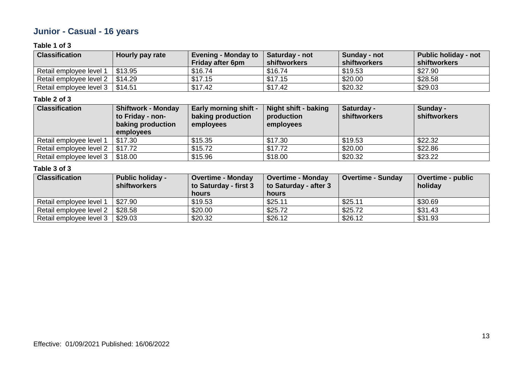# **Junior - Casual - 16 years**

## **Table 1 of 3**

| <b>Classification</b>             | Hourly pay rate | <b>Evening - Monday to</b><br><b>Friday after 6pm</b> | <b>Saturday - not</b><br>shiftworkers | Sunday - not<br>shiftworkers | <b>Public holiday - not</b><br>shiftworkers |
|-----------------------------------|-----------------|-------------------------------------------------------|---------------------------------------|------------------------------|---------------------------------------------|
| Retail employee level 1           | \$13.95         | \$16.74                                               | \$16.74                               | \$19.53                      | \$27.90                                     |
| Retail employee level 2           | \$14.29         | \$17.15                                               | \$17.15                               | \$20.00                      | \$28.58                                     |
| Retail employee level 3   \$14.51 |                 | \$17.42                                               | \$17.42                               | \$20.32                      | \$29.03                                     |

#### **Table 2 of 3**

| <b>Classification</b>   | <b>Shiftwork - Monday</b> | <b>Early morning shift -</b> | <b>Night shift - baking</b> | Saturday -          | Sunday -     |
|-------------------------|---------------------------|------------------------------|-----------------------------|---------------------|--------------|
|                         | to Friday - non-          | baking production            | production                  | <b>shiftworkers</b> | shiftworkers |
|                         | baking production         | employees                    | employees                   |                     |              |
|                         | employees                 |                              |                             |                     |              |
| Retail employee level 1 | \$17.30                   | \$15.35                      | \$17.30                     | \$19.53             | \$22.32      |
| Retail employee level 2 | \$17.72                   | \$15.72                      | \$17.72                     | \$20.00             | \$22.86      |
| Retail employee level 3 | \$18.00                   | \$15.96                      | \$18.00                     | \$20.32             | \$23.22      |

| <b>Classification</b>   | <b>Public holiday -</b><br><b>shiftworkers</b> | <b>Overtime - Monday</b><br>to Saturday - first 3<br>hours | <b>Overtime - Monday</b><br>to Saturday - after 3<br>hours | <b>Overtime - Sunday</b> | Overtime - public<br>holiday |
|-------------------------|------------------------------------------------|------------------------------------------------------------|------------------------------------------------------------|--------------------------|------------------------------|
| Retail employee level 1 | \$27.90                                        | \$19.53                                                    | \$25.11                                                    | \$25.11                  | \$30.69                      |
| Retail employee level 2 | \$28.58                                        | \$20.00                                                    | \$25.72                                                    | \$25.72                  | \$31.43                      |
| Retail employee level 3 | \$29.03                                        | \$20.32                                                    | \$26.12                                                    | \$26.12                  | \$31.93                      |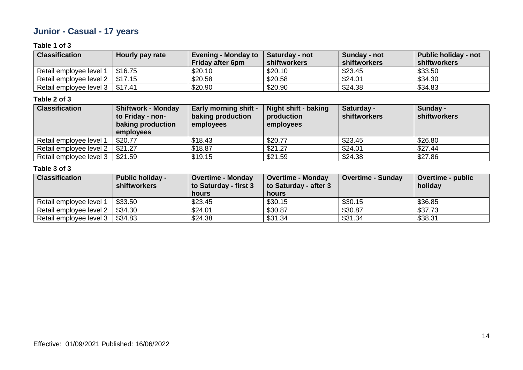# **Junior - Casual - 17 years**

### **Table 1 of 3**

| <b>Classification</b>             | Hourly pay rate | <b>Evening - Monday to</b><br><b>Friday after 6pm</b> | <b>Saturday - not</b><br>shiftworkers | Sunday - not<br>shiftworkers | Public holiday - not<br>shiftworkers |
|-----------------------------------|-----------------|-------------------------------------------------------|---------------------------------------|------------------------------|--------------------------------------|
| Retail employee level 1           | \$16.75         | \$20.10                                               | \$20.10                               | \$23.45                      | \$33.50                              |
| Retail employee level 2           | \$17.15         | \$20.58                                               | \$20.58                               | \$24.01                      | \$34.30                              |
| Retail employee level 3   \$17.41 |                 | \$20.90                                               | \$20.90                               | \$24.38                      | \$34.83                              |

#### **Table 2 of 3**

| <b>Classification</b>   | <b>Shiftwork - Monday</b> | <b>Early morning shift -</b> | <b>Night shift - baking</b> | Saturday -          | Sunday -     |
|-------------------------|---------------------------|------------------------------|-----------------------------|---------------------|--------------|
|                         | to Friday - non-          | baking production            | production                  | <b>shiftworkers</b> | shiftworkers |
|                         | baking production         | employees                    | employees                   |                     |              |
|                         | employees                 |                              |                             |                     |              |
| Retail employee level 1 | \$20.77                   | \$18.43                      | \$20.77                     | \$23.45             | \$26.80      |
| Retail employee level 2 | \$21.27                   | \$18.87                      | \$21.27                     | \$24.01             | \$27.44      |
| Retail employee level 3 | \$21.59                   | \$19.15                      | \$21.59                     | \$24.38             | \$27.86      |

| <b>Classification</b>   | <b>Public holiday -</b><br><b>shiftworkers</b> | <b>Overtime - Monday</b><br>to Saturday - first 3<br>hours | <b>Overtime - Monday</b><br>to Saturday - after 3<br>hours | <b>Overtime - Sunday</b> | Overtime - public<br>holiday |
|-------------------------|------------------------------------------------|------------------------------------------------------------|------------------------------------------------------------|--------------------------|------------------------------|
| Retail employee level 1 | \$33.50                                        | \$23.45                                                    | \$30.15                                                    | \$30.15                  | \$36.85                      |
| Retail employee level 2 | \$34.30                                        | \$24.01                                                    | \$30.87                                                    | \$30.87                  | \$37.73                      |
| Retail employee level 3 | \$34.83                                        | \$24.38                                                    | \$31.34                                                    | \$31.34                  | \$38.31                      |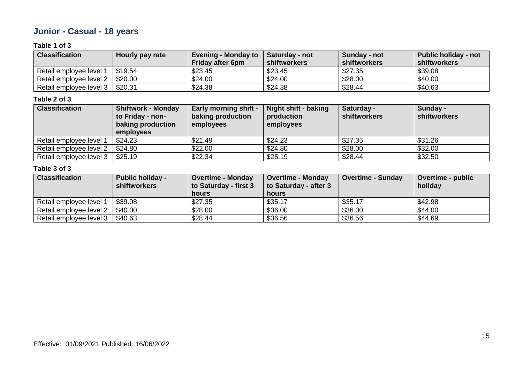# **Junior - Casual - 18 years**

## **Table 1 of 3**

| <b>Classification</b>   | Hourly pay rate | <b>Evening - Monday to</b><br><b>Friday after 6pm</b> | <b>Saturday - not</b><br>shiftworkers | Sunday - not<br>shiftworkers | Public holiday - not<br>shiftworkers |
|-------------------------|-----------------|-------------------------------------------------------|---------------------------------------|------------------------------|--------------------------------------|
| Retail employee level 1 | \$19.54         | \$23.45                                               | \$23.45                               | \$27.35                      | \$39.08                              |
| Retail employee level 2 | \$20.00         | \$24.00                                               | \$24.00                               | \$28.00                      | \$40.00                              |
| Retail employee level 3 | \$20.31         | \$24.38                                               | \$24.38                               | \$28.44                      | \$40.63                              |

#### **Table 2 of 3**

| <b>Classification</b>   | <b>Shiftwork - Monday</b> | <b>Early morning shift -</b> | <b>Night shift - baking</b> | Saturday -          | Sunday -     |
|-------------------------|---------------------------|------------------------------|-----------------------------|---------------------|--------------|
|                         | to Friday - non-          | baking production            | production                  | <b>shiftworkers</b> | shiftworkers |
|                         | baking production         | employees                    | employees                   |                     |              |
|                         | employees                 |                              |                             |                     |              |
| Retail employee level 1 | \$24.23                   | \$21.49                      | \$24.23                     | \$27.35             | \$31.26      |
| Retail employee level 2 | \$24.80                   | \$22.00                      | \$24.80                     | \$28.00             | \$32.00      |
| Retail employee level 3 | \$25.19                   | \$22.34                      | \$25.19                     | \$28.44             | \$32.50      |

| <b>Classification</b>   | <b>Public holiday -</b><br><b>shiftworkers</b> | <b>Overtime - Monday</b><br>to Saturday - first 3<br><b>hours</b> | <b>Overtime - Monday</b><br>to Saturday - after 3<br>hours | <b>Overtime - Sunday</b> | <b>Overtime - public</b><br>holiday |
|-------------------------|------------------------------------------------|-------------------------------------------------------------------|------------------------------------------------------------|--------------------------|-------------------------------------|
| Retail employee level 1 | \$39.08                                        | \$27.35                                                           | \$35.17                                                    | \$35.17                  | \$42.98                             |
| Retail employee level 2 | \$40.00                                        | \$28.00                                                           | \$36.00                                                    | \$36.00                  | \$44.00                             |
| Retail employee level 3 | \$40.63                                        | \$28.44                                                           | \$36.56                                                    | \$36.56                  | \$44.69                             |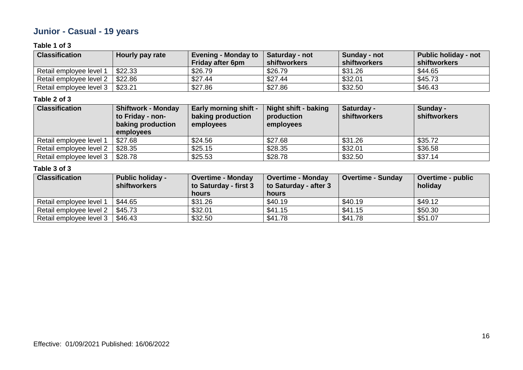# **Junior - Casual - 19 years**

## **Table 1 of 3**

| <b>Classification</b>   | Hourly pay rate | <b>Evening - Monday to</b><br><b>Friday after 6pm</b> | <b>Saturday - not</b><br>shiftworkers | Sunday - not<br>shiftworkers | Public holiday - not<br>shiftworkers |
|-------------------------|-----------------|-------------------------------------------------------|---------------------------------------|------------------------------|--------------------------------------|
| Retail employee level 1 | \$22.33         | \$26.79                                               | \$26.79                               | \$31.26                      | \$44.65                              |
| Retail employee level 2 | \$22.86         | \$27.44                                               | \$27.44                               | \$32.01                      | \$45.73                              |
| Retail employee level 3 | \$23.21         | \$27.86                                               | \$27.86                               | \$32.50                      | \$46.43                              |

#### **Table 2 of 3**

| <b>Classification</b>   | <b>Shiftwork - Monday</b> | <b>Early morning shift -</b> | Night shift - baking | Saturday -          | Sunday -     |
|-------------------------|---------------------------|------------------------------|----------------------|---------------------|--------------|
|                         | to Friday - non-          | baking production            | production           | <b>shiftworkers</b> | shiftworkers |
|                         | baking production         | employees                    | employees            |                     |              |
|                         | employees                 |                              |                      |                     |              |
| Retail employee level 1 | \$27.68                   | \$24.56                      | \$27.68              | \$31.26             | \$35.72      |
| Retail employee level 2 | \$28.35                   | \$25.15                      | \$28.35              | \$32.01             | \$36.58      |
| Retail employee level 3 | \$28.78                   | \$25.53                      | \$28.78              | \$32.50             | \$37.14      |

| <b>Classification</b>   | <b>Public holiday -</b><br><b>shiftworkers</b> | <b>Overtime - Monday</b><br>to Saturday - first 3<br><b>hours</b> | <b>Overtime - Monday</b><br>to Saturday - after 3<br>hours | <b>Overtime - Sunday</b> | <b>Overtime - public</b><br>holiday |
|-------------------------|------------------------------------------------|-------------------------------------------------------------------|------------------------------------------------------------|--------------------------|-------------------------------------|
| Retail employee level 1 | \$44.65                                        | \$31.26                                                           | \$40.19                                                    | \$40.19                  | \$49.12                             |
| Retail employee level 2 | \$45.73                                        | \$32.01                                                           | \$41.15                                                    | \$41.15                  | \$50.30                             |
| Retail employee level 3 | \$46.43                                        | \$32.50                                                           | \$41.78                                                    | \$41.78                  | \$51.07                             |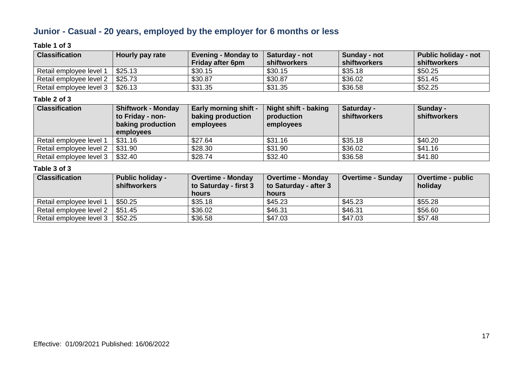# **Junior - Casual - 20 years, employed by the employer for 6 months or less**

# **Table 1 of 3**

| <b>Classification</b>   | Hourly pay rate | <b>Evening - Monday to</b><br><b>Friday after 6pm</b> | <b>Saturday - not</b><br>shiftworkers | Sunday - not<br>shiftworkers | Public holiday - not<br>shiftworkers |
|-------------------------|-----------------|-------------------------------------------------------|---------------------------------------|------------------------------|--------------------------------------|
| Retail employee level 1 | \$25.13         | \$30.15                                               | \$30.15                               | \$35.18                      | \$50.25                              |
| Retail employee level 2 | \$25.73         | \$30.87                                               | \$30.87                               | \$36.02                      | \$51.45                              |
| Retail employee level 3 | \$26.13         | \$31.35                                               | \$31.35                               | \$36.58                      | \$52.25                              |

### **Table 2 of 3**

| <b>Classification</b>   | <b>Shiftwork - Monday</b> | <b>Early morning shift -</b> | <b>Night shift - baking</b> | Saturday -          | Sunday -     |
|-------------------------|---------------------------|------------------------------|-----------------------------|---------------------|--------------|
|                         | to Friday - non-          | baking production            | production                  | <b>shiftworkers</b> | shiftworkers |
|                         | baking production         | employees                    | employees                   |                     |              |
|                         | employees                 |                              |                             |                     |              |
| Retail employee level 1 | \$31.16                   | \$27.64                      | \$31.16                     | \$35.18             | \$40.20      |
| Retail employee level 2 | \$31.90                   | \$28.30                      | \$31.90                     | \$36.02             | \$41.16      |
| Retail employee level 3 | \$32.40                   | \$28.74                      | \$32.40                     | \$36.58             | \$41.80      |

| <b>Classification</b>   | <b>Public holiday -</b><br><b>shiftworkers</b> | <b>Overtime - Monday</b><br>to Saturday - first 3<br><b>hours</b> | <b>Overtime - Monday</b><br>to Saturday - after 3<br>hours | Overtime - Sunday | <b>Overtime - public</b><br>holiday |
|-------------------------|------------------------------------------------|-------------------------------------------------------------------|------------------------------------------------------------|-------------------|-------------------------------------|
| Retail employee level 1 | \$50.25                                        | \$35.18                                                           | \$45.23                                                    | \$45.23           | \$55.28                             |
| Retail employee level 2 | \$51.45                                        | \$36.02                                                           | \$46.31                                                    | \$46.31           | \$56.60                             |
| Retail employee level 3 | \$52.25                                        | \$36.58                                                           | \$47.03                                                    | \$47.03           | \$57.48                             |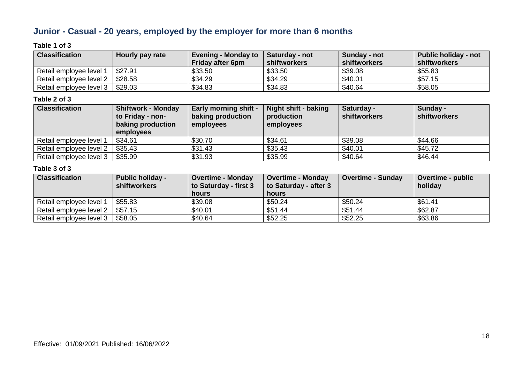# **Junior - Casual - 20 years, employed by the employer for more than 6 months**

# **Table 1 of 3**

| <b>Classification</b>   | Hourly pay rate | <b>Evening - Monday to</b> | Saturday - not | Sunday - not | <b>Public holiday - not</b> |
|-------------------------|-----------------|----------------------------|----------------|--------------|-----------------------------|
|                         |                 | <b>Friday after 6pm</b>    | shiftworkers   | shiftworkers | shiftworkers                |
| Retail employee level 1 | \$27.91         | \$33.50                    | \$33.50        | \$39.08      | \$55.83                     |
| Retail employee level 2 | \$28.58         | \$34.29                    | \$34.29        | \$40.01      | \$57.15                     |
| Retail employee level 3 | \$29.03         | \$34.83                    | \$34.83        | \$40.64      | \$58.05                     |

### **Table 2 of 3**

| <b>Classification</b>   | <b>Shiftwork - Monday</b> | <b>Early morning shift -</b> | <b>Night shift - baking</b> | Saturday -          | Sunday -     |
|-------------------------|---------------------------|------------------------------|-----------------------------|---------------------|--------------|
|                         | to Friday - non-          | baking production            | production                  | <b>shiftworkers</b> | shiftworkers |
|                         | baking production         | employees                    | employees                   |                     |              |
|                         | employees                 |                              |                             |                     |              |
| Retail employee level 1 | \$34.61                   | \$30.70                      | \$34.61                     | \$39.08             | \$44.66      |
| Retail employee level 2 | \$35.43                   | \$31.43                      | \$35.43                     | \$40.01             | \$45.72      |
| Retail employee level 3 | \$35.99                   | \$31.93                      | \$35.99                     | \$40.64             | \$46.44      |

| <b>Classification</b>   | <b>Public holiday -</b><br><b>shiftworkers</b> | <b>Overtime - Monday</b><br>to Saturday - first 3<br><b>hours</b> | <b>Overtime - Monday</b><br>to Saturday - after 3<br>hours | <b>Overtime - Sunday</b> | <b>Overtime - public</b><br>holiday |
|-------------------------|------------------------------------------------|-------------------------------------------------------------------|------------------------------------------------------------|--------------------------|-------------------------------------|
| Retail employee level 1 | \$55.83                                        | \$39.08                                                           | \$50.24                                                    | \$50.24                  | \$61.41                             |
| Retail employee level 2 | \$57.15                                        | \$40.01                                                           | \$51.44                                                    | \$51.44                  | \$62.87                             |
| Retail employee level 3 | \$58.05                                        | \$40.64                                                           | \$52.25                                                    | \$52.25                  | \$63.86                             |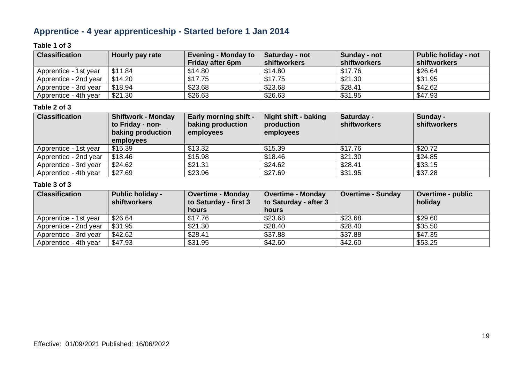# **Apprentice - 4 year apprenticeship - Started before 1 Jan 2014**

### **Table 1 of 3**

| <b>Classification</b> | Hourly pay rate | <b>Evening - Monday to</b><br><b>Friday after 6pm</b> | Saturday - not<br>shiftworkers | Sunday - not<br>shiftworkers | <b>Public holiday - not</b><br>shiftworkers |
|-----------------------|-----------------|-------------------------------------------------------|--------------------------------|------------------------------|---------------------------------------------|
| Apprentice - 1st year | \$11.84         | \$14.80                                               | \$14.80                        | \$17.76                      | \$26.64                                     |
| Apprentice - 2nd year | \$14.20         | \$17.75                                               | \$17.75                        | \$21.30                      | \$31.95                                     |
| Apprentice - 3rd year | \$18.94         | \$23.68                                               | \$23.68                        | \$28.41                      | \$42.62                                     |
| Apprentice - 4th year | \$21.30         | \$26.63                                               | \$26.63                        | \$31.95                      | \$47.93                                     |

#### **Table 2 of 3**

| <b>Classification</b> | <b>Shiftwork - Monday</b><br>to Friday - non-<br>baking production<br>employees | <b>Early morning shift -</b><br>baking production<br>employees | Night shift - baking<br>production<br>employees | Saturday -<br><b>shiftworkers</b> | Sunday -<br><b>shiftworkers</b> |
|-----------------------|---------------------------------------------------------------------------------|----------------------------------------------------------------|-------------------------------------------------|-----------------------------------|---------------------------------|
| Apprentice - 1st year | \$15.39                                                                         | \$13.32                                                        | \$15.39                                         | \$17.76                           | \$20.72                         |
| Apprentice - 2nd year | \$18.46                                                                         | \$15.98                                                        | \$18.46                                         | \$21.30                           | \$24.85                         |
| Apprentice - 3rd year | \$24.62                                                                         | \$21.31                                                        | \$24.62                                         | \$28.41                           | \$33.15                         |
| Apprentice - 4th year | \$27.69                                                                         | \$23.96                                                        | \$27.69                                         | \$31.95                           | \$37.28                         |

| <b>Classification</b> | <b>Public holiday -</b><br><b>shiftworkers</b> | <b>Overtime - Monday</b><br>to Saturday - first 3 | <b>Overtime - Monday</b><br>to Saturday - after 3 | <b>Overtime - Sunday</b> | <b>Overtime - public</b><br>holiday |
|-----------------------|------------------------------------------------|---------------------------------------------------|---------------------------------------------------|--------------------------|-------------------------------------|
|                       |                                                | hours                                             | hours                                             |                          |                                     |
| Apprentice - 1st year | \$26.64                                        | \$17.76                                           | \$23.68                                           | \$23.68                  | \$29.60                             |
| Apprentice - 2nd year | \$31.95                                        | \$21.30                                           | \$28.40                                           | \$28.40                  | \$35.50                             |
| Apprentice - 3rd year | \$42.62                                        | \$28.41                                           | \$37.88                                           | \$37.88                  | \$47.35                             |
| Apprentice - 4th year | \$47.93                                        | \$31.95                                           | \$42.60                                           | \$42.60                  | \$53.25                             |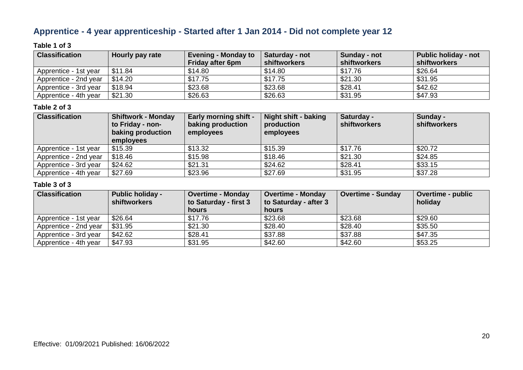# **Apprentice - 4 year apprenticeship - Started after 1 Jan 2014 - Did not complete year 12**

### **Table 1 of 3**

| <b>Classification</b> | Hourly pay rate | <b>Evening - Monday to</b><br><b>Friday after 6pm</b> | Saturday - not<br>shiftworkers | Sunday - not<br>shiftworkers | Public holiday - not<br>shiftworkers |
|-----------------------|-----------------|-------------------------------------------------------|--------------------------------|------------------------------|--------------------------------------|
| Apprentice - 1st year | \$11.84         | \$14.80                                               | \$14.80                        | \$17.76                      | \$26.64                              |
| Apprentice - 2nd year | \$14.20         | \$17.75                                               | \$17.75                        | \$21.30                      | \$31.95                              |
| Apprentice - 3rd year | \$18.94         | \$23.68                                               | \$23.68                        | \$28.41                      | \$42.62                              |
| Apprentice - 4th year | \$21.30         | \$26.63                                               | \$26.63                        | \$31.95                      | \$47.93                              |

#### **Table 2 of 3**

| <b>Classification</b> | <b>Shiftwork - Monday</b><br>to Friday - non-<br>baking production<br>employees | <b>Early morning shift -</b><br>baking production<br>employees | Night shift - baking<br>production<br>employees | Saturday -<br><b>shiftworkers</b> | Sunday -<br><b>shiftworkers</b> |
|-----------------------|---------------------------------------------------------------------------------|----------------------------------------------------------------|-------------------------------------------------|-----------------------------------|---------------------------------|
| Apprentice - 1st year | \$15.39                                                                         | \$13.32                                                        | \$15.39                                         | \$17.76                           | \$20.72                         |
| Apprentice - 2nd year | \$18.46                                                                         | \$15.98                                                        | \$18.46                                         | \$21.30                           | \$24.85                         |
| Apprentice - 3rd year | \$24.62                                                                         | \$21.31                                                        | \$24.62                                         | \$28.41                           | \$33.15                         |
| Apprentice - 4th year | \$27.69                                                                         | \$23.96                                                        | \$27.69                                         | \$31.95                           | \$37.28                         |

| <b>Classification</b> | <b>Public holiday -</b><br><b>shiftworkers</b> | <b>Overtime - Monday</b><br>to Saturday - first 3 | <b>Overtime - Monday</b><br>to Saturday - after 3 | <b>Overtime - Sunday</b> | <b>Overtime - public</b><br>holiday |
|-----------------------|------------------------------------------------|---------------------------------------------------|---------------------------------------------------|--------------------------|-------------------------------------|
|                       |                                                | hours                                             | hours                                             |                          |                                     |
| Apprentice - 1st year | \$26.64                                        | \$17.76                                           | \$23.68                                           | \$23.68                  | \$29.60                             |
| Apprentice - 2nd year | \$31.95                                        | \$21.30                                           | \$28.40                                           | \$28.40                  | \$35.50                             |
| Apprentice - 3rd year | \$42.62                                        | \$28.41                                           | \$37.88                                           | \$37.88                  | \$47.35                             |
| Apprentice - 4th year | \$47.93                                        | \$31.95                                           | \$42.60                                           | \$42.60                  | \$53.25                             |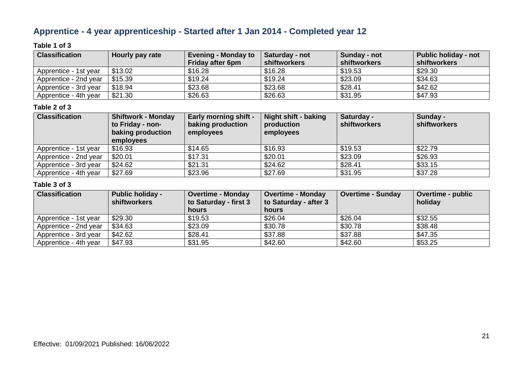# **Apprentice - 4 year apprenticeship - Started after 1 Jan 2014 - Completed year 12**

### **Table 1 of 3**

| <b>Classification</b> | Hourly pay rate | <b>Evening - Monday to</b><br><b>Friday after 6pm</b> | Saturday - not<br>shiftworkers | Sunday - not<br>shiftworkers | <b>Public holiday - not</b><br>shiftworkers |
|-----------------------|-----------------|-------------------------------------------------------|--------------------------------|------------------------------|---------------------------------------------|
| Apprentice - 1st year | \$13.02         | \$16.28                                               | \$16.28                        | \$19.53                      | \$29.30                                     |
| Apprentice - 2nd year | \$15.39         | \$19.24                                               | \$19.24                        | \$23.09                      | \$34.63                                     |
| Apprentice - 3rd year | \$18.94         | \$23.68                                               | \$23.68                        | \$28.41                      | \$42.62                                     |
| Apprentice - 4th year | \$21.30         | \$26.63                                               | \$26.63                        | \$31.95                      | \$47.93                                     |

#### **Table 2 of 3**

| <b>Classification</b> | <b>Shiftwork - Monday</b><br>to Friday - non-<br>baking production<br>employees | <b>Early morning shift -</b><br>baking production<br>employees | <b>Night shift - baking</b><br>production<br>employees | Saturday -<br>shiftworkers | Sunday -<br><b>shiftworkers</b> |
|-----------------------|---------------------------------------------------------------------------------|----------------------------------------------------------------|--------------------------------------------------------|----------------------------|---------------------------------|
| Apprentice - 1st year | \$16.93                                                                         | \$14.65                                                        | \$16.93                                                | \$19.53                    | \$22.79                         |
| Apprentice - 2nd year | \$20.01                                                                         | \$17.31                                                        | \$20.01                                                | \$23.09                    | \$26.93                         |
| Apprentice - 3rd year | \$24.62                                                                         | \$21.31                                                        | \$24.62                                                | \$28.41                    | \$33.15                         |
| Apprentice - 4th year | \$27.69                                                                         | \$23.96                                                        | \$27.69                                                | \$31.95                    | \$37.28                         |

| <b>Classification</b> | <b>Public holiday -</b><br><b>shiftworkers</b> | <b>Overtime - Monday</b><br>to Saturday - first 3<br>hours | <b>Overtime - Monday</b><br>to Saturday - after 3<br>hours | <b>Overtime - Sunday</b> | <b>Overtime - public</b><br>holiday |
|-----------------------|------------------------------------------------|------------------------------------------------------------|------------------------------------------------------------|--------------------------|-------------------------------------|
| Apprentice - 1st year | \$29.30                                        | \$19.53                                                    | \$26.04                                                    | \$26.04                  | \$32.55                             |
| Apprentice - 2nd year | \$34.63                                        | \$23.09                                                    | \$30.78                                                    | \$30.78                  | \$38.48                             |
| Apprentice - 3rd year | \$42.62                                        | \$28.41                                                    | \$37.88                                                    | \$37.88                  | \$47.35                             |
| Apprentice - 4th year | \$47.93                                        | \$31.95                                                    | \$42.60                                                    | \$42.60                  | \$53.25                             |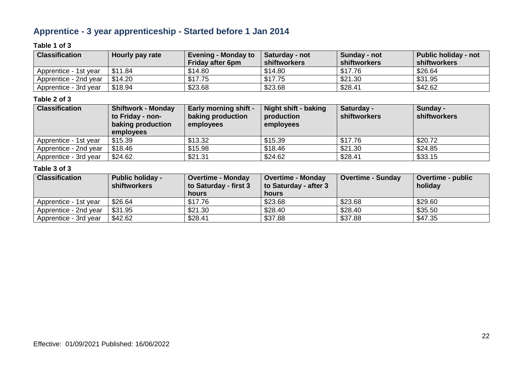# **Apprentice - 3 year apprenticeship - Started before 1 Jan 2014**

### **Table 1 of 3**

| <b>Classification</b> | Hourly pay rate | <b>Evening - Monday to</b><br><b>Friday after 6pm</b> | Saturday - not<br>shiftworkers | Sunday - not<br>shiftworkers | <b>Public holiday - not</b><br>shiftworkers |
|-----------------------|-----------------|-------------------------------------------------------|--------------------------------|------------------------------|---------------------------------------------|
| Apprentice - 1st year | \$11.84         | \$14.80                                               | \$14.80                        | \$17.76                      | \$26.64                                     |
| Apprentice - 2nd year | \$14.20         | \$17.75                                               | \$17.75                        | \$21.30                      | \$31.95                                     |
| Apprentice - 3rd year | \$18.94         | \$23.68                                               | \$23.68                        | \$28.41                      | \$42.62                                     |

### **Table 2 of 3**

| <b>Classification</b> | <b>Shiftwork - Monday</b><br>to Friday - non-<br>baking production<br>employees | <b>Early morning shift -</b><br>baking production<br>employees | Night shift - baking<br>production<br>employees | Saturday -<br><b>shiftworkers</b> | Sunday -<br><b>shiftworkers</b> |
|-----------------------|---------------------------------------------------------------------------------|----------------------------------------------------------------|-------------------------------------------------|-----------------------------------|---------------------------------|
| Apprentice - 1st year | \$15.39                                                                         | \$13.32                                                        | \$15.39                                         | \$17.76                           | \$20.72                         |
| Apprentice - 2nd year | \$18.46                                                                         | \$15.98                                                        | \$18.46                                         | \$21.30                           | \$24.85                         |
| Apprentice - 3rd year | \$24.62                                                                         | \$21.31                                                        | \$24.62                                         | \$28.41                           | \$33.15                         |

| <b>Classification</b> | <b>Public holiday -</b><br>shiftworkers | <b>Overtime - Monday</b><br>to Saturday - first 3<br>hours | <b>Overtime - Monday</b><br>to Saturday - after 3<br><b>hours</b> | <b>Overtime - Sunday</b> | <b>Overtime - public</b><br>holiday |
|-----------------------|-----------------------------------------|------------------------------------------------------------|-------------------------------------------------------------------|--------------------------|-------------------------------------|
| Apprentice - 1st year | \$26.64                                 | \$17.76                                                    | \$23.68                                                           | \$23.68                  | \$29.60                             |
| Apprentice - 2nd year | \$31.95                                 | \$21.30                                                    | \$28.40                                                           | \$28.40                  | \$35.50                             |
| Apprentice - 3rd year | \$42.62                                 | \$28.41                                                    | \$37.88                                                           | \$37.88                  | \$47.35                             |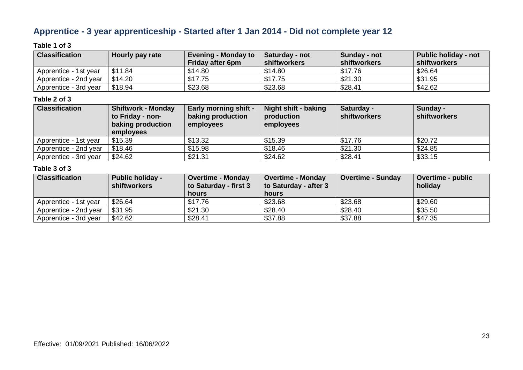# **Apprentice - 3 year apprenticeship - Started after 1 Jan 2014 - Did not complete year 12**

### **Table 1 of 3**

| <b>Classification</b> | Hourly pay rate | <b>Evening - Monday to</b><br><b>Friday after 6pm</b> | Saturday - not<br>shiftworkers | Sunday - not<br>shiftworkers | <b>Public holiday - not</b><br>shiftworkers |
|-----------------------|-----------------|-------------------------------------------------------|--------------------------------|------------------------------|---------------------------------------------|
| Apprentice - 1st year | \$11.84         | \$14.80                                               | \$14.80                        | \$17.76                      | \$26.64                                     |
| Apprentice - 2nd year | \$14.20         | \$17.75                                               | \$17.75                        | \$21.30                      | \$31.95                                     |
| Apprentice - 3rd year | \$18.94         | \$23.68                                               | \$23.68                        | \$28.41                      | \$42.62                                     |

### **Table 2 of 3**

| <b>Classification</b> | <b>Shiftwork - Monday</b><br>to Friday - non-<br>baking production<br>employees | <b>Early morning shift -</b><br>baking production<br>employees | Night shift - baking<br>production<br>employees | Saturday -<br>shiftworkers | Sunday -<br><b>shiftworkers</b> |
|-----------------------|---------------------------------------------------------------------------------|----------------------------------------------------------------|-------------------------------------------------|----------------------------|---------------------------------|
| Apprentice - 1st year | \$15.39                                                                         | \$13.32                                                        | \$15.39                                         | \$17.76                    | \$20.72                         |
| Apprentice - 2nd year | \$18.46                                                                         | \$15.98                                                        | \$18.46                                         | \$21.30                    | \$24.85                         |
| Apprentice - 3rd year | \$24.62                                                                         | \$21.31                                                        | \$24.62                                         | \$28.41                    | \$33.15                         |

| <b>Classification</b> | <b>Public holiday -</b><br><b>shiftworkers</b> | <b>Overtime - Monday</b><br>to Saturday - first 3<br><b>hours</b> | <b>Overtime - Monday</b><br>to Saturday - after 3<br><b>hours</b> | <b>Overtime - Sunday</b> | <b>Overtime - public</b><br>holiday |
|-----------------------|------------------------------------------------|-------------------------------------------------------------------|-------------------------------------------------------------------|--------------------------|-------------------------------------|
| Apprentice - 1st year | \$26.64                                        | \$17.76                                                           | \$23.68                                                           | \$23.68                  | \$29.60                             |
| Apprentice - 2nd year | \$31.95                                        | \$21.30                                                           | \$28.40                                                           | \$28.40                  | \$35.50                             |
| Apprentice - 3rd year | \$42.62                                        | \$28.41                                                           | \$37.88                                                           | \$37.88                  | \$47.35                             |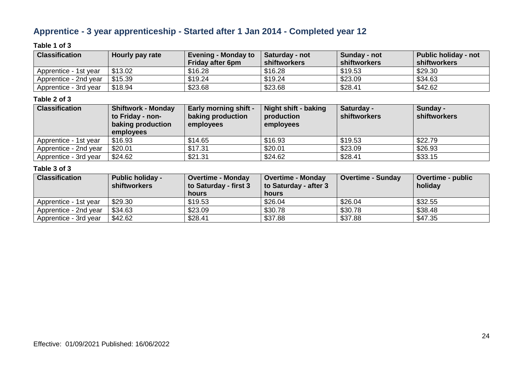# **Apprentice - 3 year apprenticeship - Started after 1 Jan 2014 - Completed year 12**

### **Table 1 of 3**

| <b>Classification</b> | Hourly pay rate | <b>Evening - Monday to</b><br><b>Friday after 6pm</b> | Saturday - not<br>shiftworkers | Sunday - not<br>shiftworkers | <b>Public holiday - not</b><br>shiftworkers |
|-----------------------|-----------------|-------------------------------------------------------|--------------------------------|------------------------------|---------------------------------------------|
| Apprentice - 1st year | \$13.02         | \$16.28                                               | \$16.28                        | \$19.53                      | \$29.30                                     |
| Apprentice - 2nd year | \$15.39         | \$19.24                                               | \$19.24                        | \$23.09                      | \$34.63                                     |
| Apprentice - 3rd year | \$18.94         | \$23.68                                               | \$23.68                        | \$28.41                      | \$42.62                                     |

### **Table 2 of 3**

| <b>Classification</b> | <b>Shiftwork - Monday</b><br>to Friday - non-<br>baking production<br><b>employees</b> | <b>Early morning shift -</b><br>baking production<br>employees | Night shift - baking<br>production<br>employees | Saturday -<br><b>shiftworkers</b> | Sunday -<br><b>shiftworkers</b> |
|-----------------------|----------------------------------------------------------------------------------------|----------------------------------------------------------------|-------------------------------------------------|-----------------------------------|---------------------------------|
| Apprentice - 1st year | \$16.93                                                                                | \$14.65                                                        | \$16.93                                         | \$19.53                           | \$22.79                         |
| Apprentice - 2nd year | \$20.01                                                                                | \$17.31                                                        | \$20.01                                         | \$23.09                           | \$26.93                         |
| Apprentice - 3rd year | \$24.62                                                                                | \$21.31                                                        | \$24.62                                         | \$28.41                           | \$33.15                         |

| <b>Classification</b> | <b>Public holiday -</b><br>shiftworkers | <b>Overtime - Monday</b><br>to Saturday - first 3<br>hours | <b>Overtime - Monday</b><br>to Saturday - after 3<br><b>hours</b> | <b>Overtime - Sunday</b> | <b>Overtime - public</b><br>holiday |
|-----------------------|-----------------------------------------|------------------------------------------------------------|-------------------------------------------------------------------|--------------------------|-------------------------------------|
| Apprentice - 1st year | \$29.30                                 | \$19.53                                                    | \$26.04                                                           | \$26.04                  | \$32.55                             |
| Apprentice - 2nd year | \$34.63                                 | \$23.09                                                    | \$30.78                                                           | \$30.78                  | \$38.48                             |
| Apprentice - 3rd year | \$42.62                                 | \$28.41                                                    | \$37.88                                                           | \$37.88                  | \$47.35                             |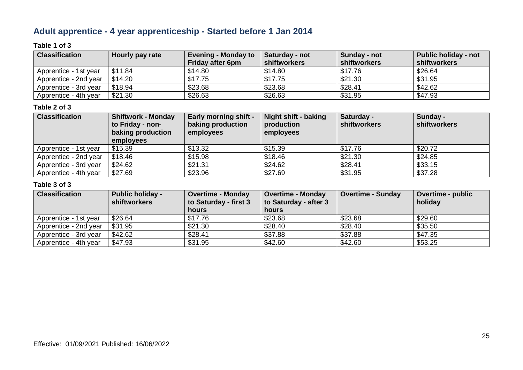# **Adult apprentice - 4 year apprenticeship - Started before 1 Jan 2014**

## **Table 1 of 3**

| <b>Classification</b> | Hourly pay rate | <b>Evening - Monday to</b><br><b>Friday after 6pm</b> | Saturday - not<br>shiftworkers | Sunday - not<br>shiftworkers | Public holiday - not<br>shiftworkers |
|-----------------------|-----------------|-------------------------------------------------------|--------------------------------|------------------------------|--------------------------------------|
| Apprentice - 1st year | \$11.84         | \$14.80                                               | \$14.80                        | \$17.76                      | \$26.64                              |
| Apprentice - 2nd year | \$14.20         | \$17.75                                               | \$17.75                        | \$21.30                      | \$31.95                              |
| Apprentice - 3rd year | \$18.94         | \$23.68                                               | \$23.68                        | \$28.41                      | \$42.62                              |
| Apprentice - 4th year | \$21.30         | \$26.63                                               | \$26.63                        | \$31.95                      | \$47.93                              |

#### **Table 2 of 3**

| <b>Classification</b> | <b>Shiftwork - Monday</b><br>to Friday - non-<br>baking production<br>employees | <b>Early morning shift -</b><br>baking production<br>employees | <b>Night shift - baking</b><br>production<br>employees | Saturday -<br><b>shiftworkers</b> | Sunday -<br><b>shiftworkers</b> |
|-----------------------|---------------------------------------------------------------------------------|----------------------------------------------------------------|--------------------------------------------------------|-----------------------------------|---------------------------------|
| Apprentice - 1st year | \$15.39                                                                         | \$13.32                                                        | \$15.39                                                | \$17.76                           | \$20.72                         |
| Apprentice - 2nd year | \$18.46                                                                         | \$15.98                                                        | \$18.46                                                | \$21.30                           | \$24.85                         |
| Apprentice - 3rd year | \$24.62                                                                         | \$21.31                                                        | \$24.62                                                | \$28.41                           | \$33.15                         |
| Apprentice - 4th year | \$27.69                                                                         | \$23.96                                                        | \$27.69                                                | \$31.95                           | \$37.28                         |

| <b>Classification</b> | <b>Public holiday -</b><br><b>shiftworkers</b> | <b>Overtime - Monday</b><br>to Saturday - first 3 | <b>Overtime - Monday</b><br>to Saturday - after 3 | <b>Overtime - Sunday</b> | <b>Overtime - public</b><br>holiday |
|-----------------------|------------------------------------------------|---------------------------------------------------|---------------------------------------------------|--------------------------|-------------------------------------|
|                       |                                                | hours                                             | hours                                             |                          |                                     |
| Apprentice - 1st year | \$26.64                                        | \$17.76                                           | \$23.68                                           | \$23.68                  | \$29.60                             |
| Apprentice - 2nd year | \$31.95                                        | \$21.30                                           | \$28.40                                           | \$28.40                  | \$35.50                             |
| Apprentice - 3rd year | \$42.62                                        | \$28.41                                           | \$37.88                                           | \$37.88                  | \$47.35                             |
| Apprentice - 4th year | \$47.93                                        | \$31.95                                           | \$42.60                                           | \$42.60                  | \$53.25                             |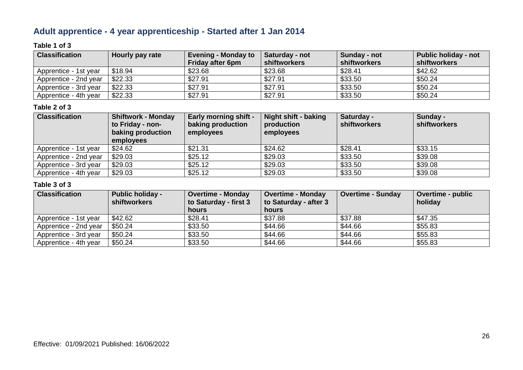# **Adult apprentice - 4 year apprenticeship - Started after 1 Jan 2014**

### **Table 1 of 3**

| <b>Classification</b> | Hourly pay rate | <b>Evening - Monday to</b><br><b>Friday after 6pm</b> | Saturday - not<br>shiftworkers | Sunday - not<br>shiftworkers | <b>Public holiday - not</b><br>shiftworkers |
|-----------------------|-----------------|-------------------------------------------------------|--------------------------------|------------------------------|---------------------------------------------|
| Apprentice - 1st year | \$18.94         | \$23.68                                               | \$23.68                        | \$28.41                      | \$42.62                                     |
| Apprentice - 2nd year | \$22.33         | \$27.91                                               | \$27.91                        | \$33.50                      | \$50.24                                     |
| Apprentice - 3rd year | \$22.33         | \$27.91                                               | \$27.91                        | \$33.50                      | \$50.24                                     |
| Apprentice - 4th year | \$22.33         | \$27.91                                               | \$27.91                        | \$33.50                      | \$50.24                                     |

#### **Table 2 of 3**

| <b>Classification</b> | <b>Shiftwork - Monday</b><br>to Friday - non-<br>baking production<br>employees | <b>Early morning shift -</b><br>baking production<br>employees | Night shift - baking<br>production<br>employees | Saturday -<br><b>shiftworkers</b> | Sunday -<br><b>shiftworkers</b> |
|-----------------------|---------------------------------------------------------------------------------|----------------------------------------------------------------|-------------------------------------------------|-----------------------------------|---------------------------------|
| Apprentice - 1st year | \$24.62                                                                         | \$21.31                                                        | \$24.62                                         | \$28.41                           | \$33.15                         |
| Apprentice - 2nd year | \$29.03                                                                         | \$25.12                                                        | \$29.03                                         | \$33.50                           | \$39.08                         |
| Apprentice - 3rd year | \$29.03                                                                         | \$25.12                                                        | \$29.03                                         | \$33.50                           | \$39.08                         |
| Apprentice - 4th year | \$29.03                                                                         | \$25.12                                                        | \$29.03                                         | \$33.50                           | \$39.08                         |

| <b>Classification</b> | <b>Public holiday -</b><br><b>shiftworkers</b> | <b>Overtime - Monday</b><br>to Saturday - first 3 | <b>Overtime - Monday</b><br>to Saturday - after 3 | <b>Overtime - Sunday</b> | <b>Overtime - public</b><br>holiday |
|-----------------------|------------------------------------------------|---------------------------------------------------|---------------------------------------------------|--------------------------|-------------------------------------|
|                       |                                                | hours                                             | hours                                             |                          |                                     |
| Apprentice - 1st year | \$42.62                                        | \$28.41                                           | \$37.88                                           | \$37.88                  | \$47.35                             |
| Apprentice - 2nd year | \$50.24                                        | \$33.50                                           | \$44.66                                           | \$44.66                  | \$55.83                             |
| Apprentice - 3rd year | \$50.24                                        | \$33.50                                           | \$44.66                                           | \$44.66                  | \$55.83                             |
| Apprentice - 4th year | \$50.24                                        | \$33.50                                           | \$44.66                                           | \$44.66                  | \$55.83                             |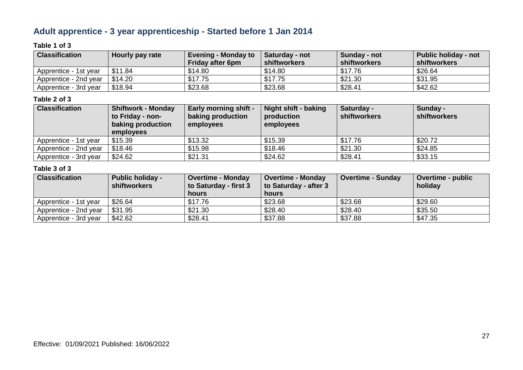# **Adult apprentice - 3 year apprenticeship - Started before 1 Jan 2014**

# **Table 1 of 3**

| <b>Classification</b> | Hourly pay rate | <b>Evening - Monday to</b> | <b>Saturday - not</b> | Sunday - not | <b>Public holiday - not</b> |
|-----------------------|-----------------|----------------------------|-----------------------|--------------|-----------------------------|
|                       |                 | <b>Friday after 6pm</b>    | shiftworkers          | shiftworkers | shiftworkers                |
| Apprentice - 1st vear | \$11.84         | \$14.80                    | \$14.80               | \$17.76      | \$26.64                     |
| Apprentice - 2nd year | \$14.20         | \$17.75                    | \$17.75               | \$21.30      | \$31.95                     |
| Apprentice - 3rd year | \$18.94         | \$23.68                    | \$23.68               | \$28.41      | \$42.62                     |

### **Table 2 of 3**

| <b>Classification</b> | <b>Shiftwork - Monday</b><br>to Friday - non-<br>baking production<br>employees | <b>Early morning shift -</b><br>baking production<br>employees | <b>Night shift - baking</b><br>production<br>employees | Saturday -<br><b>shiftworkers</b> | Sunday -<br><b>shiftworkers</b> |
|-----------------------|---------------------------------------------------------------------------------|----------------------------------------------------------------|--------------------------------------------------------|-----------------------------------|---------------------------------|
| Apprentice - 1st year | \$15.39                                                                         | \$13.32                                                        | \$15.39                                                | \$17.76                           | \$20.72                         |
| Apprentice - 2nd year | \$18.46                                                                         | \$15.98                                                        | \$18.46                                                | \$21.30                           | \$24.85                         |
| Apprentice - 3rd year | \$24.62                                                                         | \$21.31                                                        | \$24.62                                                | \$28.41                           | \$33.15                         |

| <b>Classification</b> | <b>Public holiday -</b><br>shiftworkers | <b>Overtime - Monday</b><br>to Saturday - first 3<br>hours | <b>Overtime - Monday</b><br>to Saturday - after 3<br><b>hours</b> | <b>Overtime - Sunday</b> | <b>Overtime - public</b><br>holiday |
|-----------------------|-----------------------------------------|------------------------------------------------------------|-------------------------------------------------------------------|--------------------------|-------------------------------------|
| Apprentice - 1st year | \$26.64                                 | \$17.76                                                    | \$23.68                                                           | \$23.68                  | \$29.60                             |
| Apprentice - 2nd year | \$31.95                                 | \$21.30                                                    | \$28.40                                                           | \$28.40                  | \$35.50                             |
| Apprentice - 3rd year | \$42.62                                 | \$28.41                                                    | \$37.88                                                           | \$37.88                  | \$47.35                             |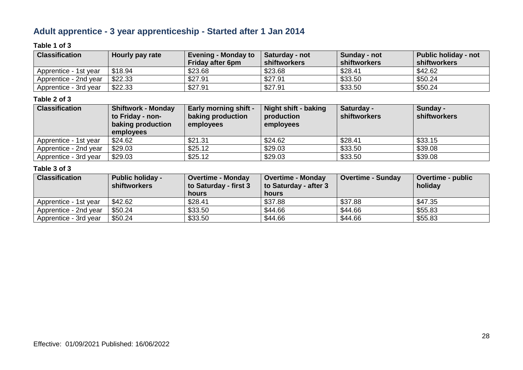# **Adult apprentice - 3 year apprenticeship - Started after 1 Jan 2014**

### **Table 1 of 3**

| <b>Classification</b> | Hourly pay rate | <b>Evening - Monday to</b><br><b>Friday after 6pm</b> | <b>Saturday - not</b><br>shiftworkers | Sunday - not<br>shiftworkers | <b>Public holiday - not</b><br>shiftworkers |
|-----------------------|-----------------|-------------------------------------------------------|---------------------------------------|------------------------------|---------------------------------------------|
| Apprentice - 1st year | \$18.94         | \$23.68                                               | \$23.68                               | \$28.41                      | \$42.62                                     |
| Apprentice - 2nd year | \$22.33         | \$27.91                                               | \$27.91                               | \$33.50                      | \$50.24                                     |
| Apprentice - 3rd year | \$22.33         | \$27.91                                               | \$27.91                               | \$33.50                      | \$50.24                                     |

### **Table 2 of 3**

| <b>Classification</b> | <b>Shiftwork - Monday</b><br>to Friday - non-<br>baking production<br><b>employees</b> | <b>Early morning shift -</b><br>baking production<br>employees | Night shift - baking<br>production<br>employees | Saturday -<br><b>shiftworkers</b> | Sunday -<br><b>shiftworkers</b> |
|-----------------------|----------------------------------------------------------------------------------------|----------------------------------------------------------------|-------------------------------------------------|-----------------------------------|---------------------------------|
| Apprentice - 1st year | \$24.62                                                                                | \$21.31                                                        | \$24.62                                         | \$28.41                           | \$33.15                         |
| Apprentice - 2nd year | \$29.03                                                                                | \$25.12                                                        | \$29.03                                         | \$33.50                           | \$39.08                         |
| Apprentice - 3rd year | \$29.03                                                                                | \$25.12                                                        | \$29.03                                         | \$33.50                           | \$39.08                         |

| <b>Classification</b> | <b>Public holiday -</b><br>shiftworkers | <b>Overtime - Monday</b><br>to Saturday - first 3<br>hours | <b>Overtime - Monday</b><br>to Saturday - after 3<br><b>hours</b> | <b>Overtime - Sunday</b> | <b>Overtime - public</b><br>holiday |
|-----------------------|-----------------------------------------|------------------------------------------------------------|-------------------------------------------------------------------|--------------------------|-------------------------------------|
| Apprentice - 1st year | \$42.62                                 | \$28.41                                                    | \$37.88                                                           | \$37.88                  | \$47.35                             |
| Apprentice - 2nd year | \$50.24                                 | \$33.50                                                    | \$44.66                                                           | \$44.66                  | \$55.83                             |
| Apprentice - 3rd year | \$50.24                                 | \$33.50                                                    | \$44.66                                                           | \$44.66                  | \$55.83                             |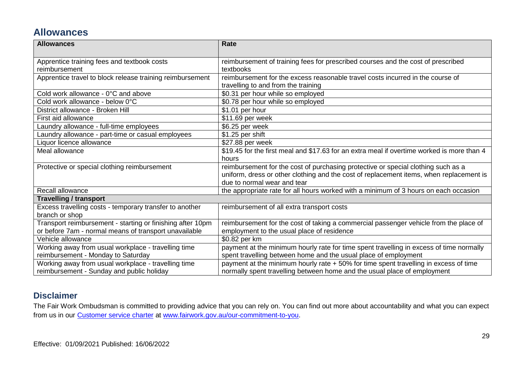# **Allowances**

| <b>Allowances</b>                                          | <b>Rate</b>                                                                                |
|------------------------------------------------------------|--------------------------------------------------------------------------------------------|
|                                                            |                                                                                            |
| Apprentice training fees and textbook costs                | reimbursement of training fees for prescribed courses and the cost of prescribed           |
| reimbursement                                              | textbooks                                                                                  |
| Apprentice travel to block release training reimbursement  | reimbursement for the excess reasonable travel costs incurred in the course of             |
|                                                            | travelling to and from the training                                                        |
| Cold work allowance - 0°C and above                        | \$0.31 per hour while so employed                                                          |
| Cold work allowance - below 0°C                            | \$0.78 per hour while so employed                                                          |
| District allowance - Broken Hill                           | \$1.01 per hour                                                                            |
| First aid allowance                                        | \$11.69 per week                                                                           |
| Laundry allowance - full-time employees                    | \$6.25 per week                                                                            |
| Laundry allowance - part-time or casual employees          | \$1.25 per shift                                                                           |
| Liquor licence allowance                                   | $\overline{$}27.88$ per week                                                               |
| Meal allowance                                             | \$19.45 for the first meal and \$17.63 for an extra meal if overtime worked is more than 4 |
|                                                            | hours                                                                                      |
| Protective or special clothing reimbursement               | reimbursement for the cost of purchasing protective or special clothing such as a          |
|                                                            | uniform, dress or other clothing and the cost of replacement items, when replacement is    |
|                                                            | due to normal wear and tear                                                                |
| Recall allowance                                           | the appropriate rate for all hours worked with a minimum of 3 hours on each occasion       |
| <b>Travelling / transport</b>                              |                                                                                            |
| Excess travelling costs - temporary transfer to another    | reimbursement of all extra transport costs                                                 |
| branch or shop                                             |                                                                                            |
| Transport reimbursement - starting or finishing after 10pm | reimbursement for the cost of taking a commercial passenger vehicle from the place of      |
| or before 7am - normal means of transport unavailable      | employment to the usual place of residence                                                 |
| Vehicle allowance                                          | \$0.82 per km                                                                              |
| Working away from usual workplace - travelling time        | payment at the minimum hourly rate for time spent travelling in excess of time normally    |
| reimbursement - Monday to Saturday                         | spent travelling between home and the usual place of employment                            |
| Working away from usual workplace - travelling time        | payment at the minimum hourly rate + 50% for time spent travelling in excess of time       |
| reimbursement - Sunday and public holiday                  | normally spent travelling between home and the usual place of employment                   |

# **Disclaimer**

The Fair Work Ombudsman is committed to providing advice that you can rely on. You can find out more about accountability and what you can expect from us in our [Customer service charter](https://www.fairwork.gov.au/about-us/our-role-and-purpose/our-priorities/our-commitment-to-you#customer-service-charter) at [www.fairwork.gov.au/our-commitment-to-you.](http://www.fairwork.gov.au/our-commitment-to-you)